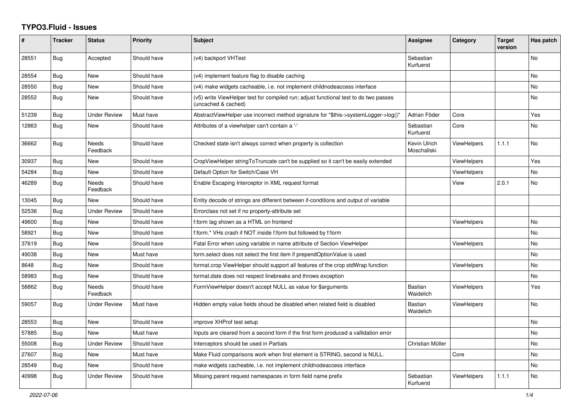## **TYPO3.Fluid - Issues**

| #     | <b>Tracker</b> | <b>Status</b>            | <b>Priority</b> | <b>Subject</b>                                                                                              | Assignee                    | Category           | <b>Target</b><br>version | Has patch |
|-------|----------------|--------------------------|-----------------|-------------------------------------------------------------------------------------------------------------|-----------------------------|--------------------|--------------------------|-----------|
| 28551 | Bug            | Accepted                 | Should have     | (v4) backport VHTest                                                                                        | Sebastian<br>Kurfuerst      |                    |                          | No        |
| 28554 | Bug            | New                      | Should have     | (v4) implement feature flag to disable caching                                                              |                             |                    |                          | No        |
| 28550 | <b>Bug</b>     | New                      | Should have     | (v4) make widgets cacheable, i.e. not implement childnodeaccess interface                                   |                             |                    |                          | No.       |
| 28552 | Bug            | New                      | Should have     | (v5) write ViewHelper test for compiled run; adjust functional test to do two passes<br>(uncached & cached) |                             |                    |                          | No.       |
| 51239 | Bug            | <b>Under Review</b>      | Must have       | AbstractViewHelper use incorrect method signature for "\$this->systemLogger->log()"                         | Adrian Föder                | Core               |                          | Yes       |
| 12863 | Bug            | <b>New</b>               | Should have     | Attributes of a viewhelper can't contain a '-'                                                              | Sebastian<br>Kurfuerst      | Core               |                          | No.       |
| 36662 | <b>Bug</b>     | <b>Needs</b><br>Feedback | Should have     | Checked state isn't always correct when property is collection                                              | Kevin Ulrich<br>Moschallski | <b>ViewHelpers</b> | 1.1.1                    | No        |
| 30937 | Bug            | <b>New</b>               | Should have     | CropViewHelper stringToTruncate can't be supplied so it can't be easily extended                            |                             | <b>ViewHelpers</b> |                          | Yes       |
| 54284 | <b>Bug</b>     | <b>New</b>               | Should have     | Default Option for Switch/Case VH                                                                           |                             | <b>ViewHelpers</b> |                          | No        |
| 46289 | <b>Bug</b>     | <b>Needs</b><br>Feedback | Should have     | Enable Escaping Interceptor in XML request format                                                           |                             | View               | 2.0.1                    | No        |
| 13045 | Bug            | New                      | Should have     | Entity decode of strings are different between if-conditions and output of variable                         |                             |                    |                          |           |
| 52536 | Bug            | <b>Under Review</b>      | Should have     | Errorclass not set if no property-attribute set                                                             |                             |                    |                          |           |
| 49600 | Bug            | <b>New</b>               | Should have     | f:form tag shown as a HTML on frontend                                                                      |                             | <b>ViewHelpers</b> |                          | No        |
| 58921 | Bug            | New                      | Should have     | f:form.* VHs crash if NOT inside f:form but followed by f:form                                              |                             |                    |                          | <b>No</b> |
| 37619 | Bug            | <b>New</b>               | Should have     | Fatal Error when using variable in name attribute of Section ViewHelper                                     |                             | <b>ViewHelpers</b> |                          | No        |
| 49038 | Bug            | <b>New</b>               | Must have       | form select does not select the first item if prependOptionValue is used                                    |                             |                    |                          | No        |
| 8648  | Bug            | <b>New</b>               | Should have     | format.crop ViewHelper should support all features of the crop stdWrap function                             |                             | <b>ViewHelpers</b> |                          | <b>No</b> |
| 58983 | <b>Bug</b>     | New                      | Should have     | format.date does not respect linebreaks and throws exception                                                |                             |                    |                          | No        |
| 58862 | <b>Bug</b>     | <b>Needs</b><br>Feedback | Should have     | FormViewHelper doesn't accept NULL as value for \$arguments                                                 | <b>Bastian</b><br>Waidelich | <b>ViewHelpers</b> |                          | Yes       |
| 59057 | Bug            | Under Review             | Must have       | Hidden empty value fields shoud be disabled when related field is disabled                                  | Bastian<br>Waidelich        | <b>ViewHelpers</b> |                          | No.       |
| 28553 | Bug            | New                      | Should have     | improve XHProf test setup                                                                                   |                             |                    |                          | No        |
| 57885 | Bug            | <b>New</b>               | Must have       | Inputs are cleared from a second form if the first form produced a vallidation error                        |                             |                    |                          | No        |
| 55008 | Bug            | <b>Under Review</b>      | Should have     | Interceptors should be used in Partials                                                                     | Christian Müller            |                    |                          | No        |
| 27607 | <b>Bug</b>     | New                      | Must have       | Make Fluid comparisons work when first element is STRING, second is NULL.                                   |                             | Core               |                          | No        |
| 28549 | Bug            | New                      | Should have     | make widgets cacheable, i.e. not implement childnodeaccess interface                                        |                             |                    |                          | No.       |
| 40998 | Bug            | <b>Under Review</b>      | Should have     | Missing parent request namespaces in form field name prefix                                                 | Sebastian<br>Kurfuerst      | <b>ViewHelpers</b> | 1.1.1                    | No        |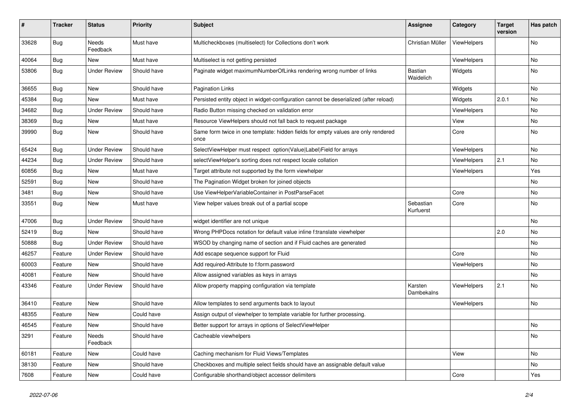| #     | <b>Tracker</b> | <b>Status</b>            | <b>Priority</b> | <b>Subject</b>                                                                            | <b>Assignee</b>             | Category           | <b>Target</b><br>version | Has patch |
|-------|----------------|--------------------------|-----------------|-------------------------------------------------------------------------------------------|-----------------------------|--------------------|--------------------------|-----------|
| 33628 | Bug            | <b>Needs</b><br>Feedback | Must have       | Multicheckboxes (multiselect) for Collections don't work                                  | Christian Müller            | ViewHelpers        |                          | No        |
| 40064 | Bug            | New                      | Must have       | Multiselect is not getting persisted                                                      |                             | ViewHelpers        |                          | No        |
| 53806 | Bug            | <b>Under Review</b>      | Should have     | Paginate widget maximumNumberOfLinks rendering wrong number of links                      | <b>Bastian</b><br>Waidelich | Widgets            |                          | No        |
| 36655 | Bug            | <b>New</b>               | Should have     | Pagination Links                                                                          |                             | Widgets            |                          | No        |
| 45384 | Bug            | New                      | Must have       | Persisted entity object in widget-configuration cannot be deserialized (after reload)     |                             | Widgets            | 2.0.1                    | No        |
| 34682 | <b>Bug</b>     | <b>Under Review</b>      | Should have     | Radio Button missing checked on validation error                                          |                             | <b>ViewHelpers</b> |                          | No        |
| 38369 | <b>Bug</b>     | New                      | Must have       | Resource ViewHelpers should not fall back to request package                              |                             | View               |                          | No        |
| 39990 | Bug            | New                      | Should have     | Same form twice in one template: hidden fields for empty values are only rendered<br>once |                             | Core               |                          | No        |
| 65424 | Bug            | <b>Under Review</b>      | Should have     | SelectViewHelper must respect option(Value Label)Field for arrays                         |                             | ViewHelpers        |                          | <b>No</b> |
| 44234 | <b>Bug</b>     | <b>Under Review</b>      | Should have     | selectViewHelper's sorting does not respect locale collation                              |                             | ViewHelpers        | 2.1                      | No        |
| 60856 | Bug            | <b>New</b>               | Must have       | Target attribute not supported by the form viewhelper                                     |                             | ViewHelpers        |                          | Yes       |
| 52591 | Bug            | New                      | Should have     | The Pagination Widget broken for joined objects                                           |                             |                    |                          | No        |
| 3481  | Bug            | New                      | Should have     | Use ViewHelperVariableContainer in PostParseFacet                                         |                             | Core               |                          | No        |
| 33551 | Bug            | New                      | Must have       | View helper values break out of a partial scope                                           | Sebastian<br>Kurfuerst      | Core               |                          | No        |
| 47006 | Bug            | <b>Under Review</b>      | Should have     | widget identifier are not unique                                                          |                             |                    |                          | No        |
| 52419 | Bug            | New                      | Should have     | Wrong PHPDocs notation for default value inline f:translate viewhelper                    |                             |                    | 2.0                      | No        |
| 50888 | <b>Bug</b>     | <b>Under Review</b>      | Should have     | WSOD by changing name of section and if Fluid caches are generated                        |                             |                    |                          | No        |
| 46257 | Feature        | <b>Under Review</b>      | Should have     | Add escape sequence support for Fluid                                                     |                             | Core               |                          | No.       |
| 60003 | Feature        | New                      | Should have     | Add required-Attribute to f:form.password                                                 |                             | ViewHelpers        |                          | No        |
| 40081 | Feature        | New                      | Should have     | Allow assigned variables as keys in arrays                                                |                             |                    |                          | No        |
| 43346 | Feature        | <b>Under Review</b>      | Should have     | Allow property mapping configuration via template                                         | Karsten<br>Dambekalns       | ViewHelpers        | 2.1                      | No        |
| 36410 | Feature        | New                      | Should have     | Allow templates to send arguments back to layout                                          |                             | ViewHelpers        |                          | No        |
| 48355 | Feature        | New                      | Could have      | Assign output of viewhelper to template variable for further processing.                  |                             |                    |                          |           |
| 46545 | Feature        | New                      | Should have     | Better support for arrays in options of SelectViewHelper                                  |                             |                    |                          | No        |
| 3291  | Feature        | Needs<br>Feedback        | Should have     | Cacheable viewhelpers                                                                     |                             |                    |                          | No        |
| 60181 | Feature        | New                      | Could have      | Caching mechanism for Fluid Views/Templates                                               |                             | View               |                          | No        |
| 38130 | Feature        | New                      | Should have     | Checkboxes and multiple select fields should have an assignable default value             |                             |                    |                          | No        |
| 7608  | Feature        | New                      | Could have      | Configurable shorthand/object accessor delimiters                                         |                             | Core               |                          | Yes       |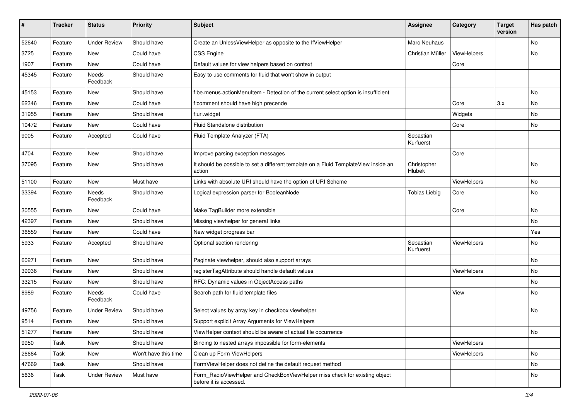| #     | <b>Tracker</b> | <b>Status</b>       | <b>Priority</b>      | <b>Subject</b>                                                                                       | <b>Assignee</b>        | Category    | <b>Target</b><br>version | Has patch |
|-------|----------------|---------------------|----------------------|------------------------------------------------------------------------------------------------------|------------------------|-------------|--------------------------|-----------|
| 52640 | Feature        | <b>Under Review</b> | Should have          | Create an UnlessViewHelper as opposite to the IfViewHelper                                           | Marc Neuhaus           |             |                          | No        |
| 3725  | Feature        | New                 | Could have           | <b>CSS Engine</b>                                                                                    | Christian Müller       | ViewHelpers |                          | No        |
| 1907  | Feature        | New                 | Could have           | Default values for view helpers based on context                                                     |                        | Core        |                          |           |
| 45345 | Feature        | Needs<br>Feedback   | Should have          | Easy to use comments for fluid that won't show in output                                             |                        |             |                          |           |
| 45153 | Feature        | New                 | Should have          | f:be.menus.actionMenuItem - Detection of the current select option is insufficient                   |                        |             |                          | No        |
| 62346 | Feature        | New                 | Could have           | f:comment should have high precende                                                                  |                        | Core        | 3.x                      | No        |
| 31955 | Feature        | New                 | Should have          | f:uri.widget                                                                                         |                        | Widgets     |                          | No        |
| 10472 | Feature        | New                 | Could have           | Fluid Standalone distribution                                                                        |                        | Core        |                          | No        |
| 9005  | Feature        | Accepted            | Could have           | Fluid Template Analyzer (FTA)                                                                        | Sebastian<br>Kurfuerst |             |                          |           |
| 4704  | Feature        | New                 | Should have          | Improve parsing exception messages                                                                   |                        | Core        |                          |           |
| 37095 | Feature        | New                 | Should have          | It should be possible to set a different template on a Fluid TemplateView inside an<br>action        | Christopher<br>Hlubek  |             |                          | No        |
| 51100 | Feature        | New                 | Must have            | Links with absolute URI should have the option of URI Scheme                                         |                        | ViewHelpers |                          | No        |
| 33394 | Feature        | Needs<br>Feedback   | Should have          | Logical expression parser for BooleanNode                                                            | <b>Tobias Liebig</b>   | Core        |                          | No        |
| 30555 | Feature        | New                 | Could have           | Make TagBuilder more extensible                                                                      |                        | Core        |                          | No        |
| 42397 | Feature        | New                 | Should have          | Missing viewhelper for general links                                                                 |                        |             |                          | No        |
| 36559 | Feature        | <b>New</b>          | Could have           | New widget progress bar                                                                              |                        |             |                          | Yes       |
| 5933  | Feature        | Accepted            | Should have          | Optional section rendering                                                                           | Sebastian<br>Kurfuerst | ViewHelpers |                          | No        |
| 60271 | Feature        | New                 | Should have          | Paginate viewhelper, should also support arrays                                                      |                        |             |                          | No        |
| 39936 | Feature        | New                 | Should have          | registerTagAttribute should handle default values                                                    |                        | ViewHelpers |                          | No        |
| 33215 | Feature        | New                 | Should have          | RFC: Dynamic values in ObjectAccess paths                                                            |                        |             |                          | No        |
| 8989  | Feature        | Needs<br>Feedback   | Could have           | Search path for fluid template files                                                                 |                        | View        |                          | No        |
| 49756 | Feature        | <b>Under Review</b> | Should have          | Select values by array key in checkbox viewhelper                                                    |                        |             |                          | No        |
| 9514  | Feature        | New                 | Should have          | Support explicit Array Arguments for ViewHelpers                                                     |                        |             |                          |           |
| 51277 | Feature        | New                 | Should have          | ViewHelper context should be aware of actual file occurrence                                         |                        |             |                          | No        |
| 9950  | Task           | New                 | Should have          | Binding to nested arrays impossible for form-elements                                                |                        | ViewHelpers |                          |           |
| 26664 | Task           | New                 | Won't have this time | Clean up Form ViewHelpers                                                                            |                        | ViewHelpers |                          | No        |
| 47669 | Task           | New                 | Should have          | FormViewHelper does not define the default request method                                            |                        |             |                          | No        |
| 5636  | Task           | <b>Under Review</b> | Must have            | Form_RadioViewHelper and CheckBoxViewHelper miss check for existing object<br>before it is accessed. |                        |             |                          | No        |